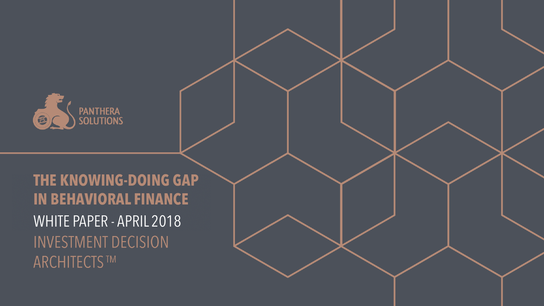

# **THE KNOWING-DOING GAP IN BEHAVIORAL FINANCE** WHITE PAPER - APRIL 2018**INVESTMENT DECISION ARCHITECTS™**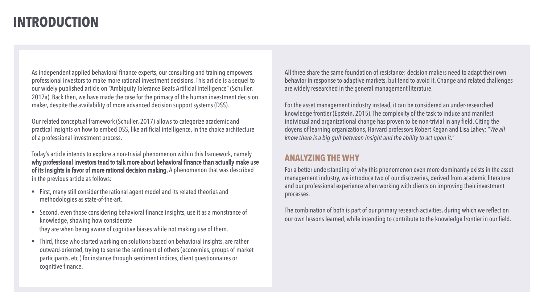## **INTRODUCTION**

As independent applied behavioral finance experts, our consulting and training empowers professional investors to make more rational investment decisions. This article is a sequel to our widely published article on "Ambiguity Tolerance Beats Artificial Intelligence" (Schuller, 2017a). Back then, we have made the case for the primacy of the human investment decision maker, despite the availability of more advanced decision support systems (DSS).

Our related conceptual framework (Schuller, 2017) allows to categorize academic and practical insights on how to embed DSS, like artificial intelligence, in the choice architecture of a professional investment process.

Today's article intends to explore a non-trivial phenomenon within this framework, namely why professional investors tend to talk more about behavioral finance than actually make use of its insights in favor of more rational decision making. A phenomenon that was described in the previous article as follows:

- First, many still consider the rational agent model and its related theories and methodologies as state-of-the-art.
- Second, even those considering behavioral finance insights, use it as a monstrance of knowledge, showing how considerate they are when being aware of cognitive biases while not making use of them.
- Third, those who started working on solutions based on behavioral insights, are rather outward-oriented, trying to sense the sentiment of others (economies, groups of market participants, etc.) for instance through sentiment indices, client questionnaires or cognitive finance.

All three share the same foundation of resistance: decision makers need to adapt their own behavior in response to adaptive markets, but tend to avoid it. Change and related challenges are widely researched in the general management literature.

For the asset management industry instead, it can be considered an under-researched knowledge frontier (Epstein, 2015). The complexity of the task to induce and manifest individual and organizational change has proven to be non-trivial in any field. Citing the doyens of learning organizations, Harvard professors Robert Kegan and Lisa Lahey: "*We all know there is a big gulf between insight and the ability to act upon it.*"

#### **ANALYZING THE WHY**

For a better understanding of why this phenomenon even more dominantly exists in the asset management industry, we introduce two of our discoveries, derived from academic literature and our professional experience when working with clients on improving their investment processes.

The combination of both is part of our primary research activities, during which we reflect on our own lessons learned, while intending to contribute to the knowledge frontier in our field.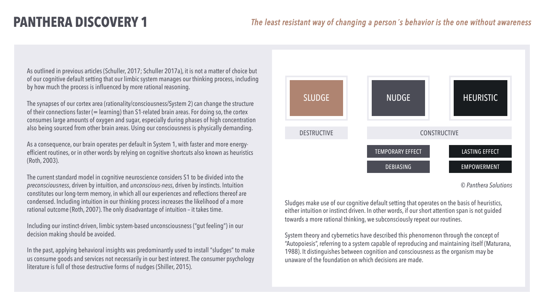As outlined in previous articles (Schuller, 2017; Schuller 2017a), it is not a matter of choice but of our cognitive default setting that our limbic system manages our thinking process, including by how much the process is influenced by more rational reasoning.

The synapses of our cortex area (rationality/consciousness/System 2) can change the structure of their connections faster (= learning) than S1-related brain areas. For doing so, the cortex consumes large amounts of oxygen and sugar, especially during phases of high concentration also being sourced from other brain areas. Using our consciousness is physically demanding.

As a consequence, our brain operates per default in System 1, with faster and more energyefficient routines, or in other words by relying on cognitive shortcuts also known as heuristics (Roth, 2003).

The current standard model in cognitive neuroscience considers S1 to be divided into the *preconsciousness*, driven by intuition, and *unconscious-ness*, driven by instincts. Intuition constitutes our long-term memory, in which all our experiences and reflections thereof are condensed. Including intuition in our thinking process increases the likelihood of a more rational outcome (Roth, 2007). The only disadvantage of intuition – it takes time.

Including our instinct-driven, limbic system-based unconsciousness ("gut feeling") in our decision making should be avoided.

In the past, applying behavioral insights was predominantly used to install "sludges" to make us consume goods and services not necessarily in our best interest. The consumer psychology literature is full of those destructive forms of nudges (Shiller, 2015).



*<sup>©</sup> Panthera Solutions*

Sludges make use of our cognitive default setting that operates on the basis of heuristics, either intuition or instinct driven. In other words, if our short attention span is not guided towards a more rational thinking, we subconsciously repeat our routines.

System theory and cybernetics have described this phenomenon through the concept of "Autopoiesis", referring to a system capable of reproducing and maintaining itself (Maturana, 1988). It distinguishes between cognition and consciousness as the organism may be unaware of the foundation on which decisions are made.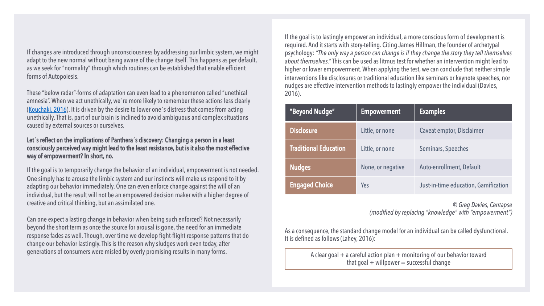If changes are introduced through unconsciousness by addressing our limbic system, we might adapt to the new normal without being aware of the change itself. This happens as per default, as we seek for "normality" through which routines can be established that enable efficient forms of Autopoiesis.

These "below radar"-forms of adaptation can even lead to a phenomenon called "unethical amnesia". When we act unethically, we´re more likely to remember these actions less clearly [\(Kouchaki, 2016\)](http://www.pnas.org/content/113/22/6166). It is driven by the desire to lower one´s distress that comes from acting unethically. That is, part of our brain is inclined to avoid ambiguous and complex situations caused by external sources or ourselves.

#### Let**´**s reflect on the implications of Panthera**´**s discovery: Changing a person in a least consciously perceived way might lead to the least resistance, but is it also the most effective way of empowerment? In short, no.

If the goal is to temporarily change the behavior of an individual, empowerment is not needed. One simply has to arouse the limbic system and our instincts will make us respond to it by adapting our behavior immediately. One can even enforce change against the will of an individual, but the result will not be an empowered decision maker with a higher degree of creative and critical thinking, but an assimilated one.

Can one expect a lasting change in behavior when being such enforced? Not necessarily beyond the short term as once the source for arousal is gone, the need for an immediate response fades as well. Though, over time we develop fight-flight response patterns that do change our behavior lastingly. This is the reason why sludges work even today, after generations of consumers were misled by overly promising results in many forms.

If the goal is to lastingly empower an individual, a more conscious form of development is required. And it starts with story-telling. Citing James Hillman, the founder of archetypal psychology: *"The only way a person can change is if they change the story they tell themselves about themselves."* This can be used as litmus test for whether an intervention might lead to higher or lower empowerment. When applying the test, we can conclude that neither simple interventions like disclosures or traditional education like seminars or keynote speeches, nor nudges are effective intervention methods to lastingly empower the individual (Davies, 2016).

| "Beyond Nudge"               | <b>Empowerment</b> | <b>Examples</b>                      |
|------------------------------|--------------------|--------------------------------------|
| <b>Disclosure</b>            | Little, or none    | Caveat emptor, Disclaimer            |
| <b>Traditional Education</b> | Little, or none    | Seminars, Speeches                   |
| <b>Nudges</b>                | None, or negative  | Auto-enrollment, Default             |
| <b>Engaged Choice</b>        | Yes                | Just-in-time education, Gamification |

*© Greg Davies, Centapse (modified by replacing "knowledge" with "empowerment")*

As a consequence, the standard change model for an individual can be called dysfunctional. It is defined as follows (Lahey, 2016):

> A clear goal  $+$  a careful action plan  $+$  monitoring of our behavior toward that goal  $+$  willpower  $=$  successful change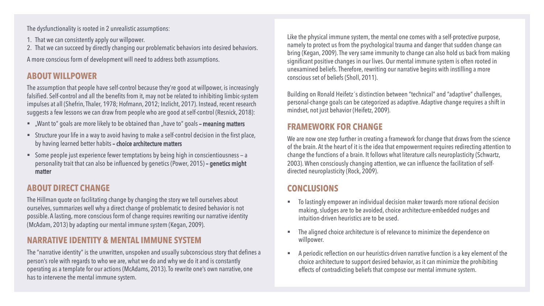The dysfunctionality is rooted in 2 unrealistic assumptions:

- 1. That we can consistently apply our willpower.
- 2. That we can succeed by directly changing our problematic behaviors into desired behaviors.

A more conscious form of development will need to address both assumptions.

### **ABOUT WILLPOWER**

The assumption that people have self-control because they're good at willpower, is increasingly falsified. Self-control and all the benefits from it, may not be related to inhibiting limbic-system impulses at all (Shefrin, Thaler, 1978; Hofmann, 2012; Inzlicht, 2017). Instead, recent research suggests a few lessons we can draw from people who are good at self-control (Resnick, 2018):

- "Want to" goals are more likely to be obtained than "have to" goals meaning matters
- § Structure your life in a way to avoid having to make a self-control decision in the first place, by having learned better habits – choice architecture matters
- Some people just experience fewer temptations by being high in conscientiousness a personality trait that can also be influenced by genetics (Power, 2015) – genetics might matter

#### **ABOUT DIRECT CHANGE**

The Hillman quote on facilitating change by changing the story we tell ourselves about ourselves, summarizes well why a direct change of problematic to desired behavior is not possible. A lasting, more conscious form of change requires rewriting our narrative identity (McAdam, 2013) by adapting our mental immune system (Kegan, 2009).

### **NARRATIVE IDENTITY & MENTAL IMMUNE SYSTEM**

The "narrative identity" is the unwritten, unspoken and usually subconscious story that defines a person's role with regards to who we are, what we do and why we do it and is constantly operating as a template for our actions (McAdams, 2013). To rewrite one's own narrative, one has to intervene the mental immune system.

Like the physical immune system, the mental one comes with a self-protective purpose, namely to protect us from the psychological trauma and danger that sudden change can bring (Kegan, 2009). The very same immunity to change can also hold us back from making significant positive changes in our lives. Our mental immune system is often rooted in unexamined beliefs. Therefore, rewriting our narrative begins with instilling a more conscious set of beliefs (Sholl, 2011).

Building on Ronald Heifetz´s distinction between "technical" and "adaptive" challenges, personal-change goals can be categorized as adaptive. Adaptive change requires a shift in mindset, not just behavior (Heifetz, 2009).

#### **FRAMEWORK FOR CHANGE**

We are now one step further in creating a framework for change that draws from the science of the brain. At the heart of it is the idea that empowerment requires redirecting attention to change the functions of a brain. It follows what literature calls neuroplasticity (Schwartz, 2003). When consciously changing attention, we can influence the facilitation of selfdirected neuroplasticity (Rock, 2009).

#### **CONCLUSIONS**

- To lastingly empower an individual decision maker towards more rational decision making, sludges are to be avoided, choice architecture-embedded nudges and intuition-driven heuristics are to be used.
- The aligned choice architecture is of relevance to minimize the dependence on willpower.
- § A periodic reflection on our heuristics-driven narrative function is a key element of the choice architecture to support desired behavior, as it can minimize the prohibiting effects of contradicting beliefs that compose our mental immune system.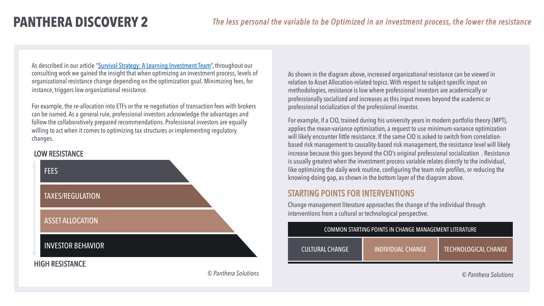As described in our article ["Survival Strategy: A Learning Investment Team](https://blogs.cfainstitute.org/investor/2017/03/30/survival-strategy-a-learning-investment-team/)", throughout our consulting work we gained the insight that when optimizing an investment process, levels of organizational resistance change depending on the optimization goal. Minimizing fees, for instance, triggers low organizational resistance.

For example, the re-allocation into ETFs or the re-negotiation of transaction fees with brokers can be named. As a general rule, professional investors acknowledge the advantages and follow the collaboratively prepared recommendations. Professional investors are equally willing to act when it comes to optimizing tax structures or implementing regulatory changes.

#### LOW RESISTANCE



© *Panthera Solutions*

As shown in the diagram above, increased organizational resistance can be viewed in relation to Asset Allocation-related topics. With respect to subject-specific input on methodologies, resistance is low where professional investors are academically or professionally socialized and increases as this input moves beyond the academic or professional socialization of the professional investor.

For example, if a CIO, trained during his university years in modern portfolio theory (MPT), applies the mean-variance optimization, a request to use minimum-variance optimization will likely encounter little resistance. If the same CIO is asked to switch from correlationbased risk management to causality-based risk management, the resistance level will likely increase because this goes beyond the CIO's original professional socialization . Resistance is usually greatest when the investment process variable relates directly to the individual, like optimizing the daily work routine, configuring the team role profiles, or reducing the knowing-doing gap, as shown in the bottom layer of the diagram above.

#### STARTING POINTS FOR INTERVENTIONS

Change management literature approaches the change of the individual through interventions from a cultural or technological perspective.

| COMMON STARTING POINTS IN CHANGE MANAGEMENT LITERATURE |                   |                        |  |
|--------------------------------------------------------|-------------------|------------------------|--|
| <b>CULTURAL CHANGE</b>                                 | INDIVIDUAL CHANGE | LTECHNOLOGICAL CHANGE! |  |

© *Panthera Solutions*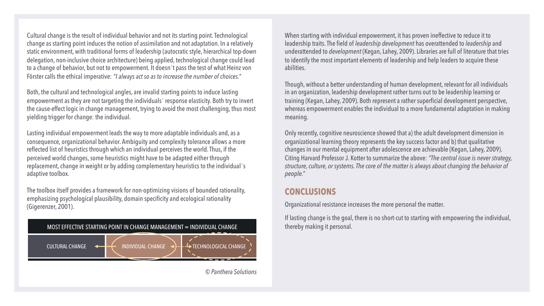Cultural change is the result of individual behavior and not its starting point. Technological change as starting point induces the notion of assimilation and not adaptation. In a relatively static environment, with traditional forms of leadership (autocratic style, hierarchical top-down delegation, non-inclusive choice architecture) being applied, technological change could lead to a change of behavior, but not to empowerment. It doesn´t pass the test of what Heinz von Förster calls the ethical imperative: *"I always act so as to increase the number of choices."*

Both, the cultural and technological angles, are invalid starting points to induce lasting empowerment as they are not targeting the individuals´ response elasticity. Both try to invert the cause-effect logic in change management, trying to avoid the most challenging, thus most yielding trigger for change: the individual.

Lasting individual empowerment leads the way to more adaptable individuals and, as a consequence, organizational behavior. Ambiguity and complexity tolerance allows a more reflected list of heuristics through which an individual perceives the world. Thus, if the perceived world changes, some heuristics might have to be adapted either through replacement, change in weight or by adding complementary heuristics to the individual´s adaptive toolbox.

The toolbox itself provides a framework for non-optimizing visions of bounded rationality, emphasizing psychological plausibility, domain specificity and ecological rationality (Gigerenzer, 2001).



When starting with individual empowerment, it has proven ineffective to reduce it to leadership traits. The field of *leadership development* has overattended to *leadership* and underattended to *development* (Kegan, Lahey, 2009). Libraries are full of literature that tries to identify the most important elements of leadership and help leaders to acquire these abilities.

Though, without a better understanding of human development, relevant for all individuals in an organization, leadership development rather turns out to be leadership learning or training (Kegan, Lahey, 2009). Both represent a rather superficial development perspective, whereas empowerment enables the individual to a more fundamental adaptation in making meaning.

Only recently, cognitive neuroscience showed that a) the adult development dimension in organizational learning theory represents the key success factor and b) that qualitative changes in our mental equipment after adolescence are achievable (Kegan, Lahey, 2009). Citing Harvard Professor J. Kotter to summarize the above: *"The central issue is never strategy, structure, culture, or systems. The core of the matter is always about changing the behavior of people."*

#### **CONCLUSIONS**

Organizational resistance increases the more personal the matter.

If lasting change is the goal, there is no short-cut to starting with empowering the individual, thereby making it personal.

© *Panthera Solutions*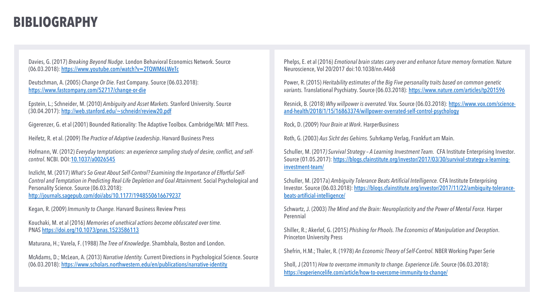## **BIBLIOGRAPHY**

Davies, G. (2017) *Breaking Beyond Nudge*. London Behavioral Economics Network. Source (06.03.2018):<https://www.youtube.com/watch?v=2TQWM6LWeTc>

Deutschman, A. (2005) *Change Or Die.* Fast Company. Source (06.03.2018): <https://www.fastcompany.com/52717/change-or-die>

Epstein, L.; Schneider, M. (2010) *Ambiguity and Asset Markets.* Stanford University. Source (30.04.2017):<http://web.stanford.edu/~schneidr/review20.pdf>

Gigerenzer, G. et al (2001) Bounded Rationality: The Adaptive Toolbox. Cambridge/MA: MIT Press.

Heifetz, R. et al. (2009) *The Practice of Adaptive Leadership*. Harvard Business Press

Hofmann, W. (2012) *Everyday temptations: an experience sampling study of desire, conflict, and selfcontrol*. NCBI. DOI[:10.1037/a0026545](https://doi.org/10.1037/a0026545)

Inzlicht, M. (2017) *What's So Great About Self-Control? Examining the Importance of Effortful Self-Control and Temptation in Predicting Real-Life Depletion and Goal Attainment.* Social Psychological and Personality Science. Source (06.03.2018): <http://journals.sagepub.com/doi/abs/10.1177/1948550616679237>

Kegan, R. (2009) *Immunity to Change.* Harvard Business Review Press

Kouchaki, M. et al (2016) *Memories of unethical actions become obfuscated over time.* PNAS <https://doi.org/10.1073/pnas.1523586113>

Maturana, H.; Varela, F. (1988) *The Tree of Knowledge*. Shambhala, Boston and London.

McAdams, D.; McLean, A. (2013) *Narrative Identity.* Current Directions in Psychological Science. Source (06.03.2018): <https://www.scholars.northwestern.edu/en/publications/narrative-identity>

Phelps, E. et al (2016) *Emotional brain states carry over and enhance future memory formation.* Nature Neuroscience, Vol 20/2017 doi:10.1038/nn.4468

Power, R. (2015) *Heritability estimates of the Big Five personality traits based on common genetic variants.* Translational Psychiatry. Source (06.03.2018):<https://www.nature.com/articles/tp201596>

Resnick, B. (2018) *Why willpower is overrated.* Vox. Source (06.03.2018): https://www.vox.com/science[and-health/2018/1/15/16863374/willpower-overrated-self-control-psychology](https://www.vox.com/science-and-health/2018/1/15/16863374/willpower-overrated-self-control-psychology)

Rock, D. (2009) *Your Brain at Work*. HarperBusiness

Roth, G. (2003) *Aus Sicht des Gehirns.* Suhrkamp Verlag, Frankfurt am Main.

Schuller, M. (2017*) Survival Strategy – A Learning Investment Team.* CFA Institute Enterprising Investor. [Source \(01.05.2017\): https://blogs.cfainstitute.org/investor/2017/03/30/survival-strategy-a-learning](https://blogs.cfainstitute.org/investor/2017/03/30/survival-strategy-a-learning-investment-team/)investment-team/

Schuller, M. (2017a) *Ambiguity Tolerance Beats Artificial Intelligence.* CFA Institute Enterprising [Investor. Source \(06.03.2018\): https://blogs.cfainstitute.org/investor/2017/11/22/ambiguity-tolerance](https://blogs.cfainstitute.org/investor/2017/11/22/ambiguity-tolerance-beats-artificial-intelligence/)beats-artificial-intelligence/

Schwartz, J. (2003) *The Mind and the Brain: Neuroplasticity and the Power of Mental Force.* Harper Perennial

Shiller, R.; Akerlof, G. (2015) *Phishing for Phools. The Economics of Manipulation and Deception*. Princeton University Press

Shefrin, H.M.; Thaler, R. (1978) *An Economic Theory of Self-Control.* NBER Working Paper Serie

Sholl, J (2011) *How to overcome immunity to change. Experience Life.* Source (06.03.2018): <https://experiencelife.com/article/how-to-overcome-immunity-to-change/>